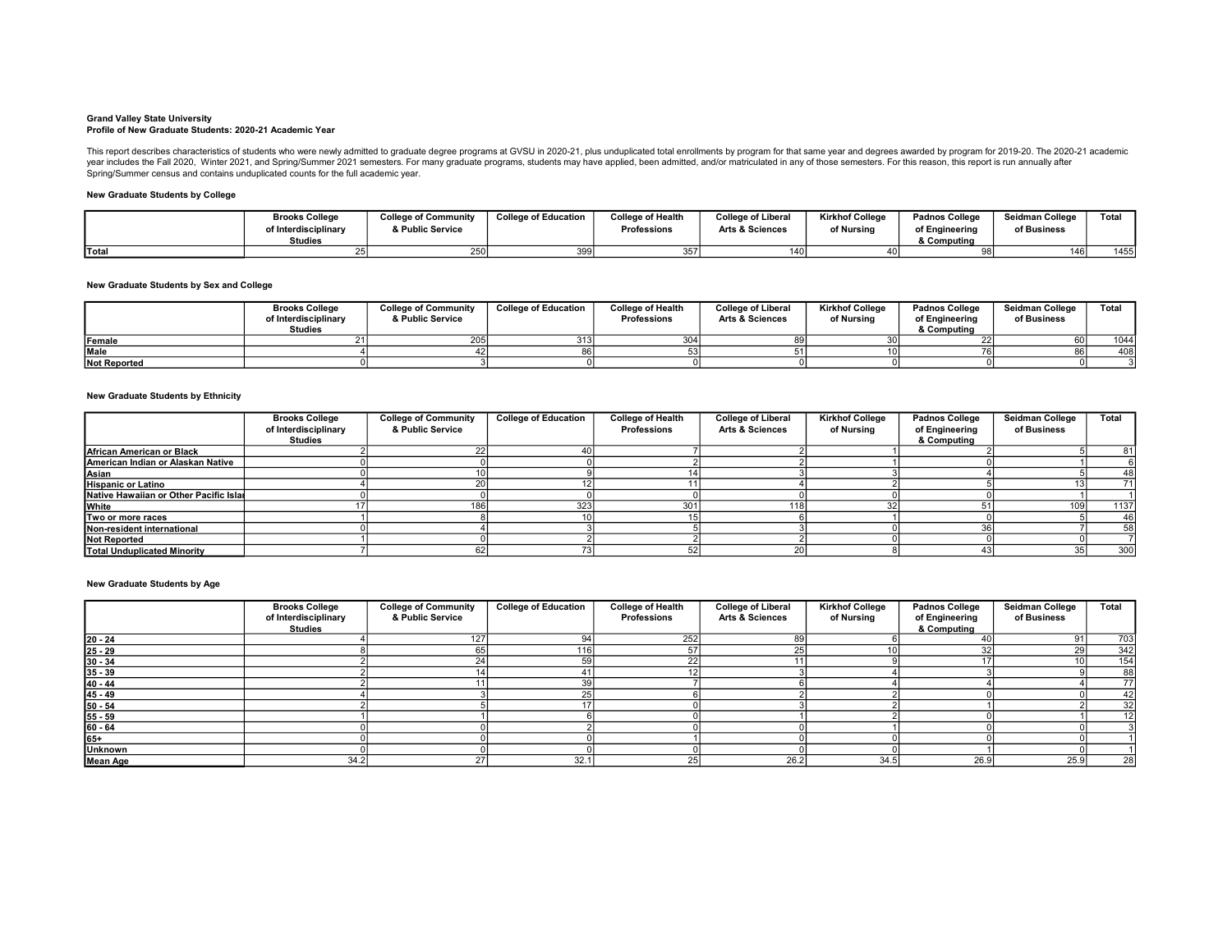#### Grand Valley State University Profile of New Graduate Students: 2020-21 Academic Year

This report describes characteristics of students who were newly admitted to graduate degree programs at GVSU in 2020-21, plus unduplicated total enrollments by program for that same year and degrees awarded by program for

### New Graduate Students by College

|              | <b>Brooks College</b> | <b>College of Community</b> | <b>College of Education</b> | College of Health  | <b>College of Liberal</b>  | <b>Kirkhof College</b> | <b>Padnos College</b> | Seidman College  | Total |
|--------------|-----------------------|-----------------------------|-----------------------------|--------------------|----------------------------|------------------------|-----------------------|------------------|-------|
|              | of Interdisciplinary  | & Public Service            |                             | <b>Professions</b> | <b>Arts &amp; Sciences</b> | of Nursina             | of Engineering        | of Business      |       |
|              | Studies               |                             |                             |                    |                            |                        | & Computing           |                  |       |
| <b>Total</b> |                       | 250                         | 399                         | 357                | <b>A</b>                   |                        |                       | 146 <sub>1</sub> | 14551 |

### New Graduate Students by Sex and College

|                     | <b>Brooks College</b><br>of Interdisciplinary<br>Studies | <b>College of Community</b><br>& Public Service | <b>College of Education</b> | <b>College of Health</b><br><b>Professions</b> | <b>College of Liberal</b><br><b>Arts &amp; Sciences</b> | <b>Kirkhof College</b><br>of Nursina | <b>Padnos College</b><br>of Engineering<br>& Computing | Seidman College<br>of Business | Total |
|---------------------|----------------------------------------------------------|-------------------------------------------------|-----------------------------|------------------------------------------------|---------------------------------------------------------|--------------------------------------|--------------------------------------------------------|--------------------------------|-------|
| Female              |                                                          | 205                                             |                             |                                                |                                                         |                                      |                                                        |                                | 1044  |
| <b>Male</b>         |                                                          |                                                 |                             |                                                |                                                         |                                      |                                                        |                                | 408   |
| <b>Not Reported</b> |                                                          |                                                 |                             |                                                |                                                         |                                      |                                                        |                                |       |

### New Graduate Students by Ethnicity

|                                        | <b>Brooks College</b><br>of Interdisciplinary | <b>College of Community</b><br>& Public Service | <b>College of Education</b> | <b>College of Health</b><br><b>Professions</b> | <b>College of Liberal</b><br><b>Arts &amp; Sciences</b> | <b>Kirkhof College</b><br>of Nursina | <b>Padnos College</b><br>of Engineering | Seidman College<br>of Business | <b>Total</b> |
|----------------------------------------|-----------------------------------------------|-------------------------------------------------|-----------------------------|------------------------------------------------|---------------------------------------------------------|--------------------------------------|-----------------------------------------|--------------------------------|--------------|
|                                        | Studies                                       |                                                 |                             |                                                |                                                         |                                      | & Computing                             |                                |              |
| African American or Black              |                                               |                                                 |                             |                                                |                                                         |                                      |                                         |                                |              |
| American Indian or Alaskan Native      |                                               |                                                 |                             |                                                |                                                         |                                      |                                         |                                |              |
| Asian                                  |                                               |                                                 |                             |                                                |                                                         |                                      |                                         |                                | 481          |
| <b>Hispanic or Latino</b>              |                                               | 20 l                                            |                             |                                                |                                                         |                                      |                                         |                                |              |
| Native Hawaiian or Other Pacific Islai |                                               |                                                 |                             |                                                |                                                         |                                      |                                         |                                |              |
| White                                  |                                               | 186 I                                           | 323                         | 301                                            | 11                                                      |                                      |                                         | 109                            | 1137         |
| Two or more races                      |                                               |                                                 |                             |                                                |                                                         |                                      |                                         |                                | 46           |
| Non-resident international             |                                               |                                                 |                             |                                                |                                                         |                                      | 36                                      |                                | 58           |
| <b>Not Reported</b>                    |                                               |                                                 |                             |                                                |                                                         |                                      |                                         |                                |              |
| <b>Total Unduplicated Minority</b>     |                                               |                                                 |                             |                                                |                                                         |                                      |                                         | 35                             | 300          |

### New Graduate Students by Age

|                 | <b>Brooks College</b><br>of Interdisciplinary<br>Studies | <b>College of Community</b><br>& Public Service | <b>College of Education</b> | <b>College of Health</b><br><b>Professions</b> | <b>College of Liberal</b><br><b>Arts &amp; Sciences</b> | <b>Kirkhof College</b><br>of Nursing | <b>Padnos College</b><br>of Engineering<br>& Computing | Seidman College<br>of Business | Total |
|-----------------|----------------------------------------------------------|-------------------------------------------------|-----------------------------|------------------------------------------------|---------------------------------------------------------|--------------------------------------|--------------------------------------------------------|--------------------------------|-------|
| $20 - 24$       |                                                          | 127                                             | 94                          | 252                                            | 89                                                      |                                      | 40                                                     | 91                             | 703   |
| $25 - 29$       |                                                          | 65                                              | 116                         |                                                |                                                         |                                      | 32                                                     | 29                             | 342   |
| $30 - 34$       |                                                          | 24                                              | 59 <sub>l</sub>             |                                                |                                                         |                                      |                                                        |                                | 154   |
| $35 - 39$       |                                                          |                                                 |                             |                                                |                                                         |                                      |                                                        |                                | 88    |
| $40 - 44$       |                                                          |                                                 | 39                          |                                                |                                                         |                                      |                                                        |                                |       |
| $45 - 49$       |                                                          |                                                 | $\angle 5$                  |                                                |                                                         |                                      |                                                        |                                | 42    |
| $50 - 54$       |                                                          |                                                 |                             |                                                |                                                         |                                      |                                                        |                                | 32    |
| $55 - 59$       |                                                          |                                                 |                             |                                                |                                                         |                                      |                                                        |                                |       |
| $60 - 64$       |                                                          |                                                 |                             |                                                |                                                         |                                      |                                                        |                                |       |
| 65+             |                                                          |                                                 |                             |                                                |                                                         |                                      |                                                        |                                |       |
| <b>Unknown</b>  |                                                          |                                                 |                             |                                                |                                                         |                                      |                                                        |                                |       |
| <b>Mean Age</b> | 34.2                                                     | 27                                              | 32.1                        |                                                | 26.2                                                    | 34.5                                 | 26.9                                                   | 25.9                           | 28    |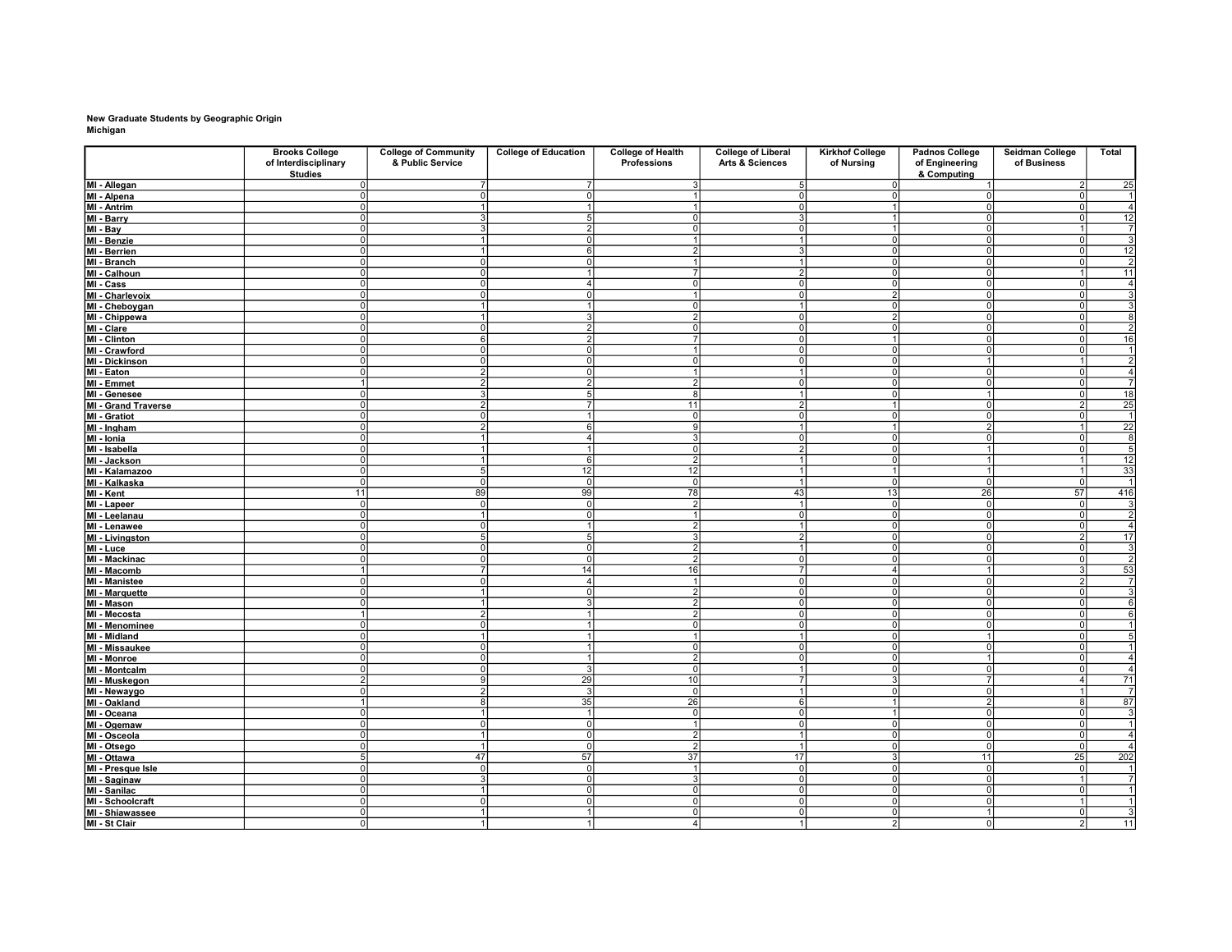## New Graduate Students by Geographic Origin Michigan

|                                 | <b>Brooks College</b>                  | <b>College of Community</b> | <b>College of Education</b> | <b>College of Health</b> | <b>College of Liberal</b>  | <b>Kirkhof College</b>           | <b>Padnos College</b>            | Seidman College | Total                   |
|---------------------------------|----------------------------------------|-----------------------------|-----------------------------|--------------------------|----------------------------|----------------------------------|----------------------------------|-----------------|-------------------------|
|                                 | of Interdisciplinary<br><b>Studies</b> | & Public Service            |                             | Professions              | <b>Arts &amp; Sciences</b> | of Nursing                       | of Engineering<br>& Computing    | of Business     |                         |
| MI - Allegan                    | 0I                                     | 7                           | $\overline{7}$              | $\overline{3}$           | 5                          | 0                                | $\vert$ 1                        | 2 <sup>1</sup>  | 25                      |
| MI - Alpena                     | $\Omega$                               | οI                          | $\Omega$                    | $\overline{1}$           | οI                         | $\overline{0}$                   | $\overline{0}$                   | $\Omega$        | 1                       |
| MI - Antrim                     | 0I                                     | 1                           |                             | $\mathbf{1}$             | 0                          | $\overline{1}$                   | $\overline{0}$                   | 0               | $\overline{4}$          |
| MI - Barry                      | $\Omega$                               | $\overline{3}$              | 5 <sup>1</sup>              | $\Omega$                 | 3 <sup>1</sup>             | $\vert$ 1                        | $\Omega$                         | $\Omega$        | 12                      |
| MI - Bay                        | $\Omega$                               | 3                           | $\overline{2}$              | 0                        | $\circ$                    | $\overline{1}$                   | $\circ$                          |                 | $\overline{7}$          |
| MI - Benzie                     | $\Omega$                               | 11                          | ΩI                          | 1                        | $\mathbf{1}$               | $\overline{0}$                   | $\overline{0}$                   | $\Omega$        | $\overline{3}$          |
| MI - Berrien                    | $\Omega$                               | $\mathbf{1}$                | 61                          | $\overline{2}$           | 3                          | $\overline{0}$                   | $\Omega$                         | $\Omega$        | 12                      |
| MI - Branch                     | 0l                                     | $\overline{\mathfrak{o}}$   | 0                           | 11                       | 1                          | 0                                | $\overline{0}$                   | 0l              | $\overline{2}$          |
| MI - Calhoun                    | $\Omega$                               | ol                          |                             | 7                        | $\overline{2}$             | $\overline{0}$                   | $\overline{0}$                   |                 | 11                      |
| MI-Cass                         | $\Omega$                               | -ol                         | 4                           | 0                        | 0                          | $\overline{0}$                   | $\overline{0}$                   | 0l              | $\overline{4}$          |
| MI - Charlevoix                 | $\Omega$                               | 0l                          | $\cap$                      | $\overline{1}$           | $\Omega$                   | $\mathcal{P}$                    | $\Omega$                         | $\cap$          | $\overline{\mathbf{3}}$ |
| MI - Cheboygan                  | $\Omega$                               | 1                           |                             | $\Omega$                 | $\mathbf{1}$               | $\overline{0}$                   | $\overline{0}$                   | $\Omega$        | 3                       |
| MI - Chippewa                   | 0I                                     | -11                         | 31                          | $\overline{2}$           | 0                          | $\overline{2}$                   | $\Omega$                         | ΩI              | 8                       |
| MI - Clare                      | $\Omega$                               | $\overline{0}$              | $\overline{2}$              | $\Omega$                 | $\overline{0}$             | 0                                | $\overline{0}$                   | $\Omega$        | $\overline{2}$          |
| MI - Clinton                    | $\Omega$                               | -61                         | 21                          | $\overline{7}$           | 0                          | $\overline{1}$                   | $\Omega$                         | ΩI              | 16                      |
| MI - Crawford                   | $\Omega$                               | ol                          | $\overline{0}$              | $\mathbf{1}$             | $\overline{0}$             | $\overline{0}$                   | $\overline{0}$                   | $\overline{0}$  | $\overline{1}$          |
| MI - Dickinson                  | 0l                                     | 0                           | οI                          | $\Omega$                 | 0                          | 0                                |                                  |                 | $\overline{\mathbf{c}}$ |
| MI - Eaton                      | $\Omega$                               | $\overline{2}$              | $\overline{0}$              | $\overline{1}$           | $\overline{1}$             | $\overline{0}$                   | $\overline{0}$                   | $\Omega$        | $\frac{4}{7}$           |
| MI - Emmet                      |                                        | 2 <sup>1</sup>              | $\mathfrak{p}$              | $\overline{2}$           | 0                          | $\overline{0}$                   | $\overline{0}$                   | $\Omega$        |                         |
| MI - Genesee                    | $\Omega$<br>$\Omega$                   | 31<br>$\overline{2}$        | 51<br>$\overline{7}$        | 8<br>11                  | 1                          | $\overline{0}$<br>$\overline{1}$ | $\overline{1}$                   | 0I<br>っ         | 18                      |
| MI - Grand Traverse             |                                        |                             |                             |                          | $\overline{2}$             |                                  | $\overline{0}$                   |                 | $\overline{25}$         |
| MI - Gratiot                    | $\Omega$<br>$\Omega$                   | 0l<br>$\overline{2}$        | $6\sqrt{ }$                 | $\Omega$<br>9            | 0<br>1                     | $\overline{0}$<br>$\vert$ 1      | $\overline{0}$<br>$\overline{2}$ | $\Omega$        | $\vert$ 1               |
| MI - Ingham                     | $\Omega$                               | $\mathbf{1}$                | 4                           | 3                        | 0                          | $\Omega$                         | $\overline{0}$                   | $\Omega$        | $\overline{22}$         |
| MI - Ionia                      | $\Omega$                               | 11                          | 1                           | $\Omega$                 |                            | $\overline{0}$                   | $\overline{1}$                   | 0l              | 8<br>5                  |
| MI - Isabella                   | $\Omega$                               | $\overline{1}$              | 61                          | $\overline{2}$           | $\overline{2}$<br>1        | $\Omega$                         | $\overline{1}$                   |                 | 12                      |
| MI - Jackson                    | $\Omega$                               | 5                           | 12                          | 12                       | $\mathbf{1}$               | $\vert$ 1                        | $\overline{1}$                   |                 | 33                      |
| MI - Kalamazoo                  | $\Omega$                               | $\overline{0}$              | $\Omega$                    | $\overline{0}$           | 1                          |                                  | $\overline{0}$                   | $\overline{0}$  | $\overline{1}$          |
| MI - Kalkaska<br>MI - Kent      | 11                                     | 89                          | 99                          | 78                       | 43                         | 0 <br>13                         | 26                               | 57              | 416                     |
| MI - Lapeer                     | $\Omega$                               | -ol                         | 0l                          | 2 <sup>1</sup>           | 1                          | 0                                | $\overline{0}$                   | -ol             |                         |
|                                 | $\Omega$                               | $\overline{1}$              | ΩI                          | $\mathbf{1}$             | 0                          | $\overline{0}$                   | $\Omega$                         | $\Omega$        | $\frac{3}{2}$           |
| MI - Leelanau                   | 0l                                     | $\overline{0}$              | 11                          | $\overline{2}$           | 11                         | $\overline{0}$                   | $\overline{0}$                   | 0l              | $\overline{4}$          |
| MI - Lenawee<br>MI - Livingston | $\Omega$                               | 5                           | 5                           | $\overline{\mathbf{3}}$  | $\overline{2}$             | $\overline{0}$                   | $\overline{0}$                   | $\overline{2}$  | 17                      |
| MI - Luce                       | $\Omega$                               | 0l                          | οI                          | $\overline{2}$           | $\mathbf{1}$               | $\overline{0}$                   | $\overline{0}$                   |                 | $\mathbf{3}$<br>0l      |
| MI - Mackinac                   | $\Omega$                               | 0l                          | ΩI                          | $\mathcal{P}$            | 0                          | $\overline{0}$                   | $\Omega$                         | $\Omega$        | $\overline{2}$          |
| MI - Macomb                     |                                        | 7                           | 14                          | 16                       | $\overline{7}$             | $\overline{4}$                   |                                  |                 | 53                      |
| MI - Manistee                   | $\Omega$                               | -ol                         | 4 <sup>1</sup>              | $\vert$ 1                | 0l                         | $\overline{0}$                   | $\overline{0}$                   | $\mathcal{P}$   | $\overline{7}$          |
| MI - Marquette                  | $\Omega$                               | $\overline{1}$              | $\Omega$                    | $\overline{2}$           | ᅁ                          | $\overline{0}$                   | $\overline{0}$                   | $\Omega$        |                         |
| MI - Mason                      | $\Omega$                               | $\mathbf{1}$                | 3                           | $\overline{2}$           | 0                          | 0                                | $\overline{0}$                   | $\Omega$        | $\overline{6}$          |
| MI - Mecosta                    |                                        | $\overline{2}$              |                             | っ                        | $\overline{0}$             | $\overline{0}$                   | $\overline{0}$                   | $\overline{0}$  | 6                       |
| MI - Menominee                  | $\Omega$                               | 0                           |                             | $\Omega$                 | $\circ$                    | 0                                | $\overline{0}$                   | $\Omega$        | 1                       |
| MI - Midland                    | ΩI                                     | 11                          |                             | 1                        | $\mathbf{1}$               | $\overline{0}$                   |                                  | $\Omega$        | $\overline{5}$          |
| MI - Missaukee                  | $\Omega$                               | -ol                         |                             | $\Omega$                 | 0                          | $\overline{0}$                   | $\overline{0}$                   | $\Omega$        | $\overline{1}$          |
| MI - Monroe                     | $\Omega$                               | -ol                         | 1                           | $\overline{2}$           | $\Omega$                   | $\Omega$                         | $\overline{1}$                   | ΩI              | $\overline{4}$          |
| MI - Montcalm                   | $\Omega$                               | $\overline{0}$              | 3                           | $\overline{0}$           | $\overline{1}$             | $\overline{0}$                   | $\overline{0}$                   | $\overline{0}$  | $\overline{4}$          |
| MI - Muskegon                   | 2                                      | 9                           | 29                          | 10 <sup>1</sup>          | $\overline{7}$             | $\lvert 3 \rvert$                | $\overline{7}$                   | 4               | 71                      |
| MI - Newaygo                    | $\Omega$                               | $\overline{2}$              | $\mathcal{R}$               | $\Omega$                 | $\mathbf{1}$               | 0                                | $\overline{0}$                   |                 | $\overline{7}$          |
| MI - Oakland                    |                                        | 8                           | 35                          | 26                       | 6                          | $\overline{1}$                   | $\overline{2}$                   | 8               | 87                      |
| MI - Oceana                     | $\Omega$                               | 1                           | $\mathbf{1}$                | $\Omega$                 | 0                          | $\vert$ 1                        | $\overline{0}$                   | 0l              | $\mathbf{3}$            |
| MI - Ogemaw                     | $\Omega$                               | ol                          | $\overline{0}$              | $\mathbf{1}$             | $\overline{\mathfrak{o}}$  | $\overline{0}$                   | $\overline{0}$                   | $\overline{0}$  | $\overline{1}$          |
| MI - Osceola                    | 0I                                     | 1                           | 0l                          | $\overline{2}$           | 1                          | $\overline{0}$                   | $\overline{0}$                   | 0l              | $\overline{4}$          |
| MI - Otsego                     | $\Omega$                               | $\overline{1}$              | $\overline{0}$              | $\overline{2}$           | $\overline{1}$             | $\overline{0}$                   | $\overline{0}$                   | $\overline{0}$  | $\overline{4}$          |
| MI - Ottawa                     | 5                                      | 47                          | 57                          | 37                       | 17                         | $\lvert 3 \rvert$                | 11                               | 25              | 202                     |
| MI - Presque Isle               | $\Omega$                               | $\Omega$                    | $\Omega$                    | $\overline{1}$           | $\overline{0}$             | $\overline{0}$                   | $\Omega$                         | $\Omega$        | $\frac{1}{7}$           |
| MI - Saginaw                    | $\Omega$                               | 31                          | ΩI                          | 3                        | $\overline{0}$             | $\overline{0}$                   | $\Omega$                         |                 |                         |
| MI - Sanilac                    | 0l                                     | 1                           | 0l                          | 0                        | $\overline{0}$             | $\overline{0}$                   | $\overline{0}$                   | 0l              | $\overline{1}$          |
| MI - Schoolcraft                | $\overline{0}$                         | $\overline{0}$              | σI                          | $\overline{0}$           | οI                         | $\overline{0}$                   | $\overline{0}$                   |                 | $\overline{1}$          |
| MI - Shiawassee                 | $\Omega$                               | $\mathbf{1}$                |                             | $\Omega$                 | ol                         | $\overline{0}$                   |                                  |                 | $\overline{3}$<br>٥I    |
| MI - St Clair                   | 0                                      | $\blacksquare$              |                             | 4 <sup>1</sup>           | 11                         | $\overline{2}$                   | 0                                |                 | 11<br>2                 |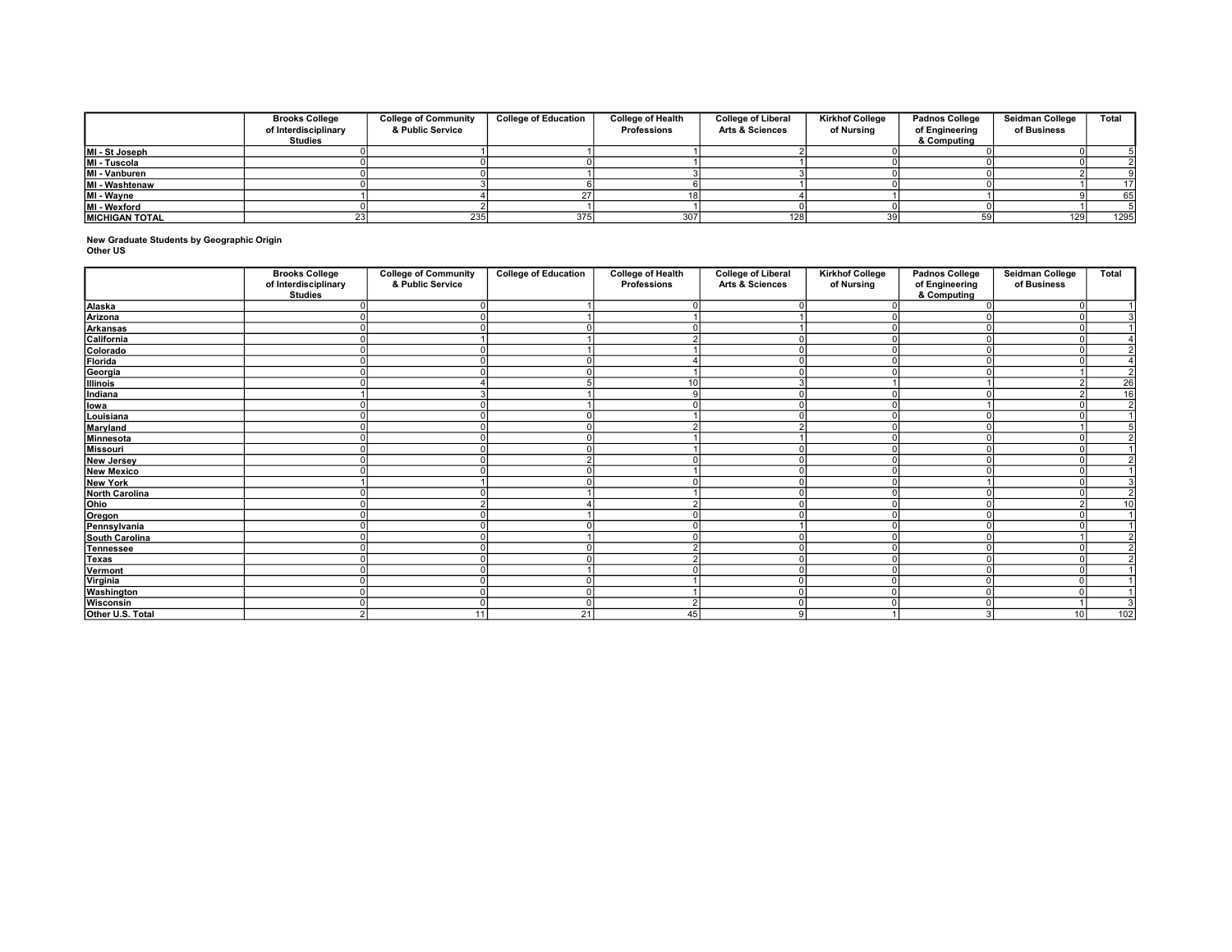|                        | <b>Brooks College</b><br>of Interdisciplinary<br>Studies | <b>College of Community</b><br>& Public Service | <b>College of Education</b> | <b>College of Health</b><br><b>Professions</b> | <b>College of Liberal</b><br><b>Arts &amp; Sciences</b> | <b>Kirkhof College</b><br>of Nursina | <b>Padnos College</b><br>of Engineering<br>& Computing | Seidman College<br>of Business | Total |
|------------------------|----------------------------------------------------------|-------------------------------------------------|-----------------------------|------------------------------------------------|---------------------------------------------------------|--------------------------------------|--------------------------------------------------------|--------------------------------|-------|
| MI - St Joseph         |                                                          |                                                 |                             |                                                |                                                         |                                      |                                                        |                                |       |
| MI - Tuscola           |                                                          |                                                 |                             |                                                |                                                         |                                      |                                                        |                                |       |
| MI - Vanburen          |                                                          |                                                 |                             |                                                |                                                         |                                      |                                                        |                                |       |
| MI - Washtenaw         |                                                          |                                                 |                             |                                                |                                                         |                                      |                                                        |                                |       |
| MI - Wayne             |                                                          |                                                 |                             |                                                |                                                         |                                      |                                                        |                                | 65    |
| MI - Wexford           |                                                          |                                                 |                             |                                                |                                                         |                                      |                                                        |                                |       |
| <b>IMICHIGAN TOTAL</b> |                                                          | 235                                             | 375                         | 307                                            | 128                                                     |                                      |                                                        | 129                            | 1295  |

New Graduate Students by Geographic Origin Other US

|                       | <b>Brooks College</b><br>of Interdisciplinary<br><b>Studies</b> | <b>College of Community</b><br>& Public Service | <b>College of Education</b> | <b>College of Health</b><br>Professions | <b>College of Liberal</b><br><b>Arts &amp; Sciences</b> | <b>Kirkhof College</b><br>of Nursing | Padnos College<br>of Engineering<br>& Computing | Seidman College<br>of Business | Total          |
|-----------------------|-----------------------------------------------------------------|-------------------------------------------------|-----------------------------|-----------------------------------------|---------------------------------------------------------|--------------------------------------|-------------------------------------------------|--------------------------------|----------------|
| Alaska                |                                                                 |                                                 |                             |                                         |                                                         |                                      |                                                 | $\Omega$                       | $\mathbf{1}$   |
| Arizona               |                                                                 | n                                               |                             |                                         |                                                         |                                      |                                                 |                                |                |
| Arkansas              |                                                                 |                                                 |                             |                                         |                                                         |                                      |                                                 |                                | $\mathbf{1}$   |
| California            |                                                                 |                                                 |                             |                                         |                                                         |                                      |                                                 |                                |                |
| Colorado              |                                                                 |                                                 |                             |                                         |                                                         |                                      |                                                 |                                | $\overline{2}$ |
| Florida               |                                                                 |                                                 |                             |                                         |                                                         |                                      |                                                 |                                | $\overline{4}$ |
| Georgia               |                                                                 |                                                 |                             |                                         |                                                         |                                      |                                                 |                                | $\overline{2}$ |
| Illinois              |                                                                 |                                                 |                             | 10 <sup>1</sup>                         |                                                         |                                      |                                                 |                                | 26             |
| Indiana               |                                                                 | ◠                                               |                             | 9                                       |                                                         |                                      |                                                 |                                | 16             |
| lowa                  |                                                                 |                                                 |                             |                                         |                                                         |                                      |                                                 |                                | $\overline{2}$ |
| Louisiana             |                                                                 |                                                 |                             |                                         |                                                         |                                      |                                                 |                                | $\overline{1}$ |
| Maryland              |                                                                 |                                                 |                             |                                         |                                                         |                                      |                                                 |                                | $\overline{5}$ |
| Minnesota             |                                                                 |                                                 |                             |                                         |                                                         |                                      |                                                 |                                | $\overline{2}$ |
| Missouri              |                                                                 |                                                 |                             |                                         |                                                         | $\Omega$                             |                                                 |                                | $\overline{1}$ |
| New Jersey            |                                                                 |                                                 |                             |                                         |                                                         |                                      |                                                 |                                | $\overline{2}$ |
| <b>New Mexico</b>     |                                                                 |                                                 |                             |                                         |                                                         |                                      |                                                 |                                | $\overline{1}$ |
| New York              |                                                                 |                                                 |                             |                                         |                                                         |                                      |                                                 |                                |                |
| <b>North Carolina</b> |                                                                 |                                                 |                             |                                         |                                                         |                                      |                                                 |                                | $\overline{2}$ |
| Ohio                  |                                                                 | $\sim$                                          |                             | $\sim$                                  |                                                         | $\Omega$                             |                                                 |                                | 10             |
| Oregon                |                                                                 |                                                 |                             |                                         |                                                         | $\Omega$                             |                                                 |                                | $\overline{1}$ |
| Pennsylvania          |                                                                 |                                                 |                             |                                         |                                                         |                                      |                                                 |                                | $\mathbf{1}$   |
| South Carolina        |                                                                 |                                                 |                             |                                         |                                                         |                                      |                                                 |                                | $\overline{2}$ |
| Tennessee             |                                                                 |                                                 |                             |                                         |                                                         |                                      |                                                 |                                | $\overline{2}$ |
| Texas                 |                                                                 |                                                 |                             |                                         |                                                         |                                      |                                                 |                                | $\overline{2}$ |
| Vermont               |                                                                 |                                                 |                             |                                         |                                                         |                                      |                                                 |                                | $\overline{1}$ |
| Virginia              |                                                                 |                                                 |                             |                                         |                                                         | $\Omega$                             |                                                 |                                |                |
| Washington            |                                                                 | $\Omega$                                        |                             |                                         |                                                         |                                      |                                                 |                                | $\overline{1}$ |
| Wisconsin             |                                                                 |                                                 |                             | $\overline{2}$                          |                                                         | $\Omega$                             |                                                 |                                |                |
| Other U.S. Total      |                                                                 | 11                                              | 21                          | 45 <sub>l</sub>                         |                                                         |                                      |                                                 | 10 <sup>1</sup>                | 102            |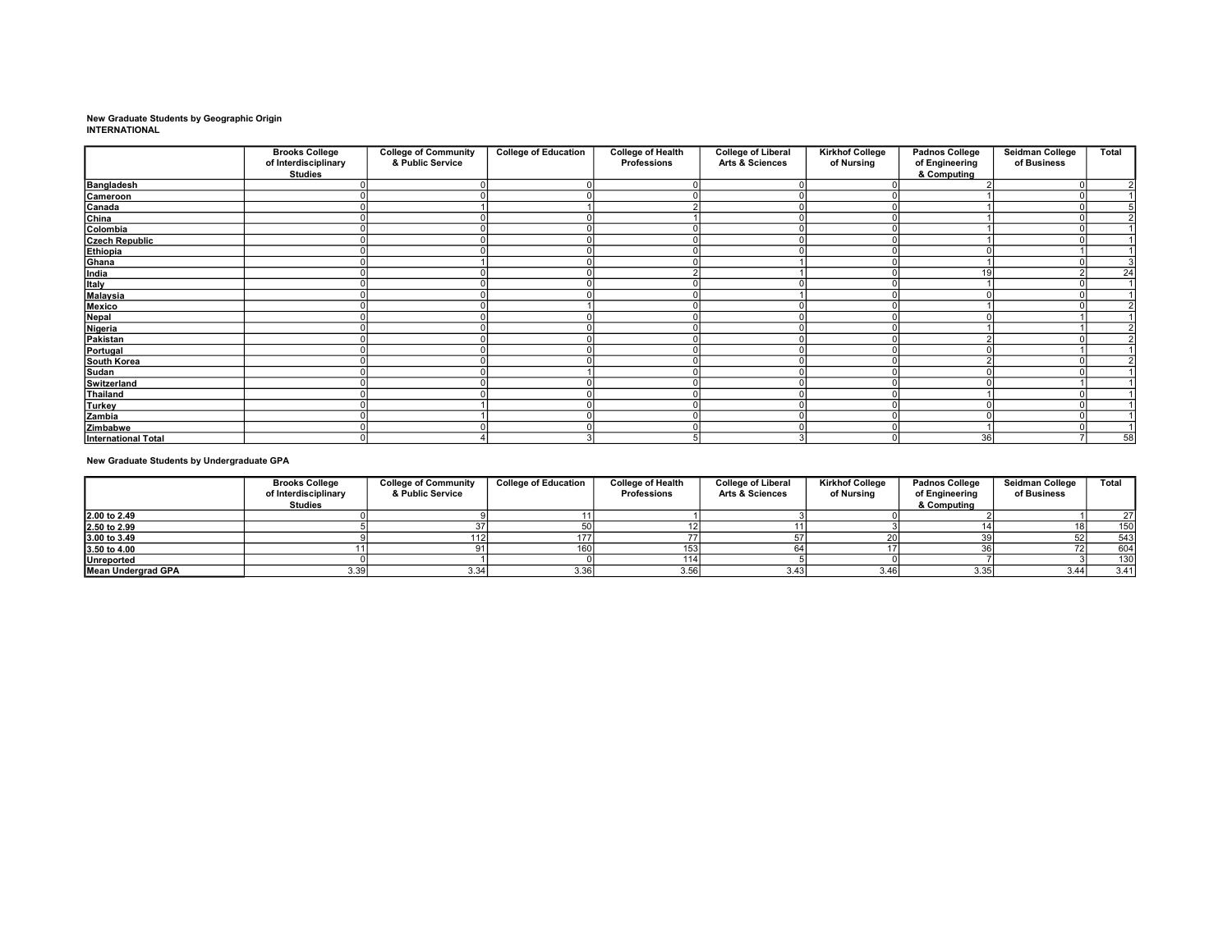# New Graduate Students by Geographic Origin INTERNATIONAL

|                            | <b>Brooks College</b><br>of Interdisciplinary<br><b>Studies</b> | <b>College of Community</b><br>& Public Service | <b>College of Education</b> | <b>College of Health</b><br><b>Professions</b> | <b>College of Liberal</b><br><b>Arts &amp; Sciences</b> | <b>Kirkhof College</b><br>of Nursing | Padnos College<br>of Engineering<br>& Computing | Seidman College<br>of Business | Total |
|----------------------------|-----------------------------------------------------------------|-------------------------------------------------|-----------------------------|------------------------------------------------|---------------------------------------------------------|--------------------------------------|-------------------------------------------------|--------------------------------|-------|
| Bangladesh                 |                                                                 |                                                 |                             |                                                |                                                         |                                      |                                                 |                                |       |
| Cameroon                   |                                                                 |                                                 |                             |                                                |                                                         |                                      |                                                 |                                |       |
| Canada<br>China            |                                                                 |                                                 |                             |                                                |                                                         |                                      |                                                 |                                |       |
|                            |                                                                 |                                                 |                             |                                                |                                                         |                                      |                                                 |                                |       |
| Colombia                   |                                                                 |                                                 |                             |                                                |                                                         |                                      |                                                 |                                |       |
| <b>Czech Republic</b>      |                                                                 |                                                 |                             |                                                |                                                         |                                      |                                                 |                                |       |
| Ethiopia                   |                                                                 |                                                 |                             |                                                |                                                         |                                      |                                                 |                                |       |
| Ghana                      |                                                                 |                                                 |                             |                                                |                                                         |                                      |                                                 |                                |       |
| India                      |                                                                 |                                                 |                             |                                                |                                                         |                                      | 19                                              |                                | 24    |
| Italy                      |                                                                 |                                                 |                             |                                                |                                                         |                                      |                                                 |                                |       |
| Malaysia                   |                                                                 |                                                 |                             |                                                |                                                         |                                      |                                                 |                                |       |
| Mexico                     |                                                                 |                                                 |                             |                                                |                                                         |                                      |                                                 |                                |       |
| Nepal                      |                                                                 |                                                 |                             |                                                |                                                         |                                      |                                                 |                                |       |
| Nigeria                    |                                                                 |                                                 |                             |                                                |                                                         |                                      |                                                 |                                |       |
| Pakistan                   |                                                                 |                                                 |                             |                                                |                                                         |                                      |                                                 |                                |       |
| Portugal                   |                                                                 |                                                 |                             |                                                |                                                         |                                      |                                                 |                                |       |
| South Korea                |                                                                 |                                                 |                             |                                                |                                                         |                                      |                                                 |                                |       |
| Sudan                      |                                                                 |                                                 |                             |                                                |                                                         |                                      |                                                 |                                |       |
| Switzerland                |                                                                 |                                                 |                             |                                                |                                                         |                                      |                                                 |                                |       |
| Thailand                   |                                                                 |                                                 |                             |                                                |                                                         |                                      |                                                 |                                |       |
| Turkey                     |                                                                 |                                                 |                             |                                                |                                                         |                                      |                                                 |                                |       |
| Zambia                     |                                                                 |                                                 |                             |                                                |                                                         |                                      |                                                 |                                |       |
| Zimbabwe                   |                                                                 |                                                 |                             |                                                |                                                         |                                      |                                                 |                                |       |
| <b>International Total</b> |                                                                 |                                                 |                             |                                                |                                                         |                                      | 36                                              |                                | 58    |

### New Graduate Students by Undergraduate GPA

|                           | <b>Brooks College</b><br>of Interdisciplinary<br><b>Studies</b> | <b>College of Community</b><br>& Public Service | <b>College of Education</b> | <b>College of Health</b><br><b>Professions</b> | <b>College of Liberal</b><br><b>Arts &amp; Sciences</b> | <b>Kirkhof College</b><br>of Nursina | <b>Padnos College</b><br>of Engineering<br>& Computing | Seidman College<br>of Business | Total |
|---------------------------|-----------------------------------------------------------------|-------------------------------------------------|-----------------------------|------------------------------------------------|---------------------------------------------------------|--------------------------------------|--------------------------------------------------------|--------------------------------|-------|
| 2.00 to 2.49              |                                                                 |                                                 |                             |                                                |                                                         |                                      |                                                        |                                | 27    |
| 2.50 to 2.99              |                                                                 |                                                 |                             |                                                |                                                         |                                      |                                                        |                                | 150   |
| 3.00 to 3.49              |                                                                 |                                                 |                             |                                                |                                                         |                                      |                                                        |                                | 543   |
| 3.50 to 4.00              |                                                                 |                                                 | 160                         |                                                |                                                         |                                      |                                                        |                                | 604   |
| <b>Unreported</b>         |                                                                 |                                                 |                             |                                                |                                                         |                                      |                                                        |                                | 130   |
| <b>Mean Undergrad GPA</b> | 3.39                                                            | 3.34                                            | 3.36                        | 3.56                                           | 3.43                                                    | 3.46                                 | 3.35                                                   | 3.44                           | 3.41  |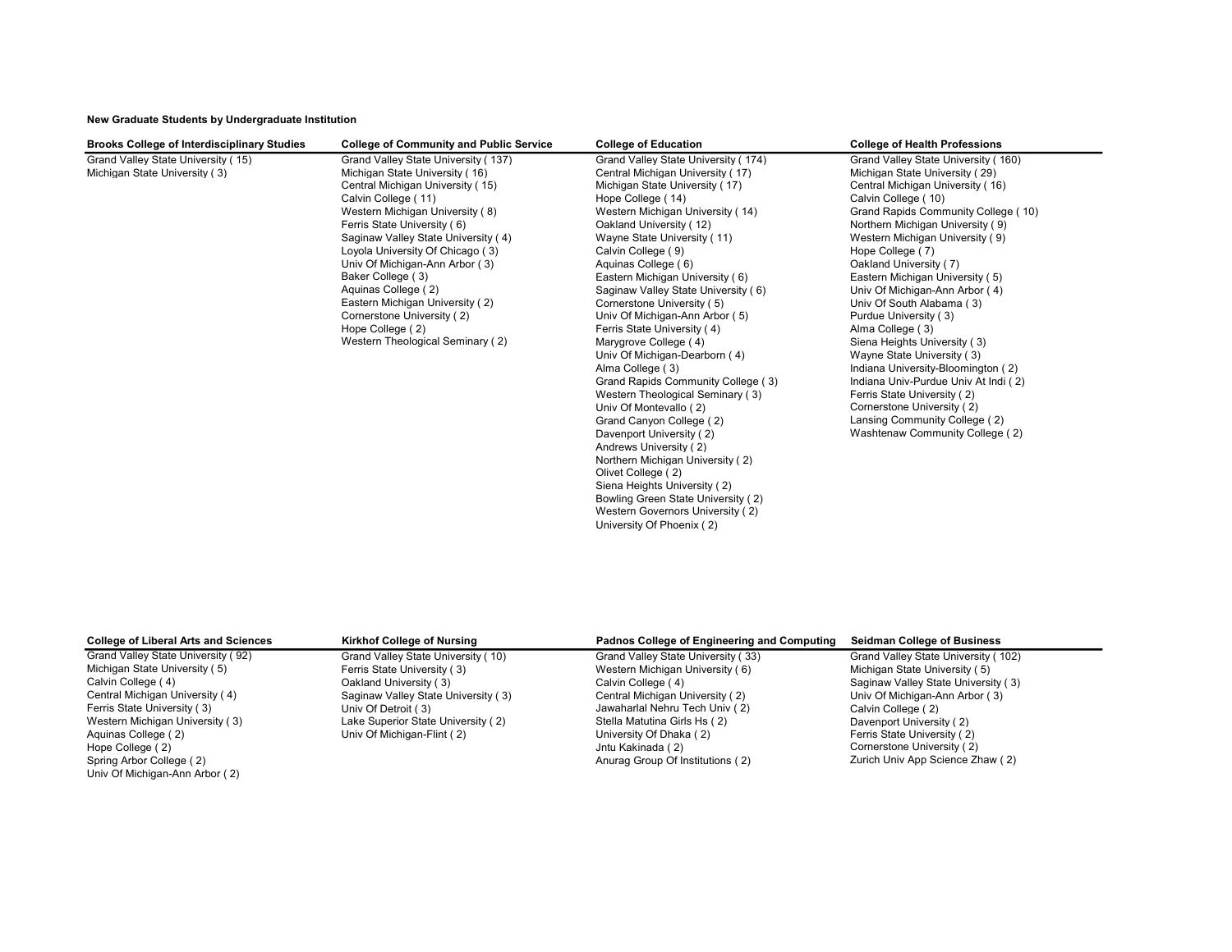### New Graduate Students by Undergraduate Institution

| <b>Brooks College of Interdisciplinary Studies</b> | <b>College of Community and Public Service</b> | <b>College of Education</b>                        | <b>College of Health Professions</b>                      |
|----------------------------------------------------|------------------------------------------------|----------------------------------------------------|-----------------------------------------------------------|
| Grand Valley State University (15)                 | Grand Valley State University (137)            | Grand Valley State University (174)                | Grand Valley State University (160)                       |
| Michigan State University (3)                      | Michigan State University (16)                 | Central Michigan University (17)                   | Michigan State University (29)                            |
|                                                    | Central Michigan University (15)               | Michigan State University (17)                     | Central Michigan University (16)                          |
|                                                    | Calvin College (11)                            | Hope College (14)                                  | Calvin College (10)                                       |
|                                                    | Western Michigan University (8)                | Western Michigan University (14)                   | Grand Rapids Community College (10)                       |
|                                                    | Ferris State University (6)                    | Oakland University (12)                            | Northern Michigan University (9)                          |
|                                                    | Saginaw Valley State University (4)            | Wayne State University (11)                        | Western Michigan University (9)                           |
|                                                    | Loyola University Of Chicago (3)               | Calvin College (9)                                 | Hope College (7)                                          |
|                                                    | Univ Of Michigan-Ann Arbor (3)                 | Aquinas College (6)                                | Oakland University (7)                                    |
|                                                    | Baker College (3)                              | Eastern Michigan University (6)                    | Eastern Michigan University (5)                           |
|                                                    | Aquinas College (2)                            | Saginaw Valley State University (6)                | Univ Of Michigan-Ann Arbor (4)                            |
|                                                    | Eastern Michigan University (2)                | Cornerstone University (5)                         | Univ Of South Alabama (3)                                 |
|                                                    | Cornerstone University (2)                     | Univ Of Michigan-Ann Arbor (5)                     | Purdue University (3)                                     |
|                                                    | Hope College (2)                               | Ferris State University (4)                        | Alma College (3)                                          |
|                                                    | Western Theological Seminary (2)               | Marygrove College (4)                              | Siena Heights University (3)                              |
|                                                    |                                                | Univ Of Michigan-Dearborn (4)                      | Wayne State University (3)                                |
|                                                    |                                                | Alma College (3)                                   | Indiana University-Bloomington (2)                        |
|                                                    |                                                | Grand Rapids Community College (3)                 | Indiana Univ-Purdue Univ At Indi (2)                      |
|                                                    |                                                | Western Theological Seminary (3)                   | Ferris State University (2)<br>Cornerstone University (2) |
|                                                    |                                                | Univ Of Montevallo (2)<br>Grand Canyon College (2) | Lansing Community College (2)                             |
|                                                    |                                                | Davenport University (2)                           | Washtenaw Community College (2)                           |
|                                                    |                                                | Andrews University (2)                             |                                                           |
|                                                    |                                                | Northern Michigan University (2)                   |                                                           |
|                                                    |                                                | Olivet College (2)                                 |                                                           |
|                                                    |                                                | Siena Heights University (2)                       |                                                           |
|                                                    |                                                | Bowling Green State University (2)                 |                                                           |
|                                                    |                                                | Western Governors University (2)                   |                                                           |
|                                                    |                                                | University Of Phoenix (2)                          |                                                           |

| <b>College of Liberal Arts and Sciences</b> | <b>Kirkhof College of Nursing</b>   | Padnos College of Engineering and Computing | <b>Seidman College of Business</b>  |
|---------------------------------------------|-------------------------------------|---------------------------------------------|-------------------------------------|
| Grand Valley State University (92)          | Grand Valley State University (10)  | Grand Valley State University (33)          | Grand Valley State University (102) |
| Michigan State University (5)               | Ferris State University (3)         | Western Michigan University (6)             | Michigan State University (5)       |
| Calvin College (4)                          | Oakland University (3)              | Calvin College (4)                          | Saginaw Valley State University (3) |
| Central Michigan University (4)             | Saginaw Valley State University (3) | Central Michigan University (2)             | Univ Of Michigan-Ann Arbor (3)      |
| Ferris State University (3)                 | Univ Of Detroit (3)                 | Jawaharlal Nehru Tech Univ (2)              | Calvin College (2)                  |
| Western Michigan University (3)             | Lake Superior State University (2)  | Stella Matutina Girls Hs (2)                | Davenport University (2)            |
| Aquinas College (2)                         | Univ Of Michigan-Flint (2)          | University Of Dhaka (2)                     | Ferris State University (2)         |
| Hope College (2)                            |                                     | Jntu Kakinada (2)                           | Cornerstone University (2)          |
| Spring Arbor College (2)                    |                                     | Anurag Group Of Institutions (2)            | Zurich Univ App Science Zhaw (2)    |
| Univ Of Michigan-Ann Arbor (2)              |                                     |                                             |                                     |